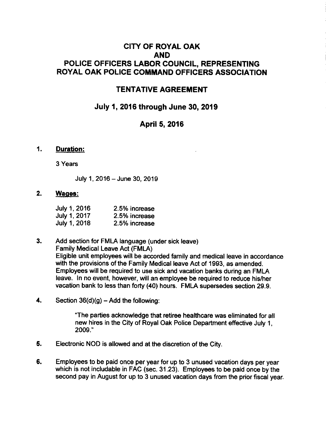# CITY OF ROYAL OAK AND POLICE OFFICERS LABOR COUNCIL, REPRESENTING ROYAL OAK POLICE COMMAND OFFICERS ASSOCIATION

## TENTATIVE AGREEMENT

## July 1, 2016 through June 30, 2019

## April 5, 2016

#### '1. Duration:

3 Years

July 1, 2016 -June 30, 2019

#### 2. Waqes:

| July 1, 2016 | 2.5% increase |
|--------------|---------------|
| July 1, 2017 | 2.5% increase |
| July 1, 2018 | 2.5% increase |

3. Add section for FMLA language (under sick leave) Family Medical Leave Act (FMLA) Eligible unit employees will be accorded family and medical leave in accordance with the provisions of the Family Medical leave Act of 1993, as amended. Employees will be required to use sick and vacation banks during an FMLA leave. ln no event, however, will an employee be required to reduce his/her vacation bank to less than forty (40) hours. FMLA supersedes section 29.9.

4. Section  $36(d)(g) -$  Add the following:

'The parties acknowledge that retiree healthcare was eliminated for all new hires in the City of Royal Oak Police Department effective July 1, 2009.'

- 5. Electronic NOD is allowed and at the discretion of the City.
- 6. Employees to be paid once per yearfor up to 3 unused vacation days per year which is not includable in FAC (sec. 31.23). Employees to be paid once by the second pay in August for up to 3 unused vacation days from the prior fiscal year.